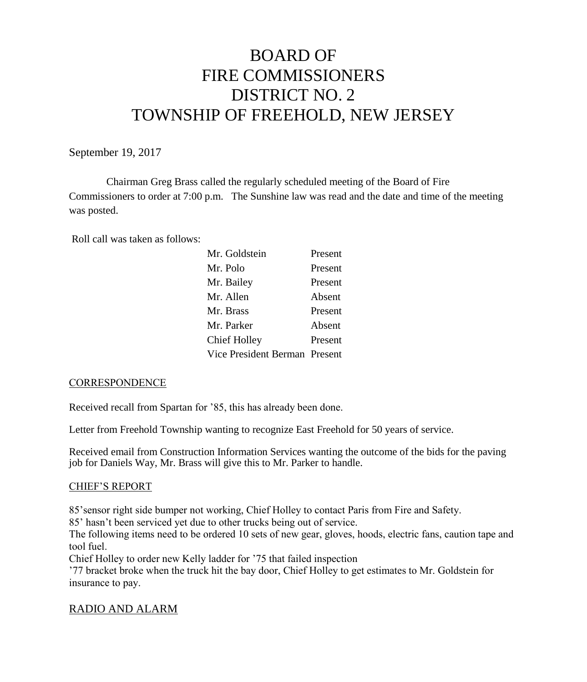# BOARD OF FIRE COMMISSIONERS DISTRICT NO. 2 TOWNSHIP OF FREEHOLD, NEW JERSEY

September 19, 2017

Chairman Greg Brass called the regularly scheduled meeting of the Board of Fire Commissioners to order at 7:00 p.m. The Sunshine law was read and the date and time of the meeting was posted.

Roll call was taken as follows:

| Mr. Goldstein                 | Present |
|-------------------------------|---------|
| Mr. Polo                      | Present |
| Mr. Bailey                    | Present |
| Mr. Allen                     | Absent  |
| Mr. Brass                     | Present |
| Mr. Parker                    | Absent  |
| <b>Chief Holley</b>           | Present |
| Vice President Berman Present |         |

#### **CORRESPONDENCE**

Received recall from Spartan for '85, this has already been done.

Letter from Freehold Township wanting to recognize East Freehold for 50 years of service.

Received email from Construction Information Services wanting the outcome of the bids for the paving job for Daniels Way, Mr. Brass will give this to Mr. Parker to handle.

#### CHIEF'S REPORT

85'sensor right side bumper not working, Chief Holley to contact Paris from Fire and Safety.

85' hasn't been serviced yet due to other trucks being out of service.

The following items need to be ordered 10 sets of new gear, gloves, hoods, electric fans, caution tape and tool fuel.

Chief Holley to order new Kelly ladder for '75 that failed inspection

'77 bracket broke when the truck hit the bay door, Chief Holley to get estimates to Mr. Goldstein for insurance to pay.

# RADIO AND ALARM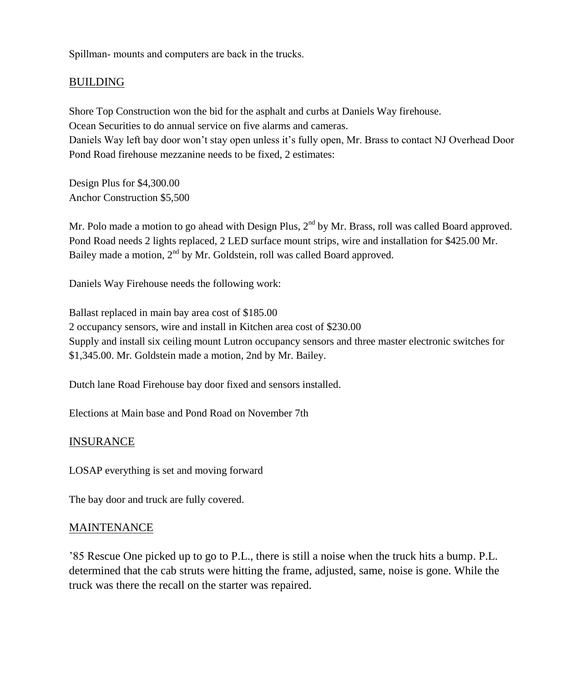Spillman- mounts and computers are back in the trucks.

# BUILDING

Shore Top Construction won the bid for the asphalt and curbs at Daniels Way firehouse. Ocean Securities to do annual service on five alarms and cameras. Daniels Way left bay door won't stay open unless it's fully open, Mr. Brass to contact NJ Overhead Door Pond Road firehouse mezzanine needs to be fixed, 2 estimates:

Design Plus for \$4,300.00 Anchor Construction \$5,500

Mr. Polo made a motion to go ahead with Design Plus, 2<sup>nd</sup> by Mr. Brass, roll was called Board approved. Pond Road needs 2 lights replaced, 2 LED surface mount strips, wire and installation for \$425.00 Mr. Bailey made a motion,  $2<sup>nd</sup>$  by Mr. Goldstein, roll was called Board approved.

Daniels Way Firehouse needs the following work:

Ballast replaced in main bay area cost of \$185.00 2 occupancy sensors, wire and install in Kitchen area cost of \$230.00 Supply and install six ceiling mount Lutron occupancy sensors and three master electronic switches for \$1,345.00. Mr. Goldstein made a motion, 2nd by Mr. Bailey.

Dutch lane Road Firehouse bay door fixed and sensors installed.

Elections at Main base and Pond Road on November 7th

# INSURANCE

LOSAP everything is set and moving forward

The bay door and truck are fully covered.

# MAINTENANCE

'85 Rescue One picked up to go to P.L., there is still a noise when the truck hits a bump. P.L. determined that the cab struts were hitting the frame, adjusted, same, noise is gone. While the truck was there the recall on the starter was repaired.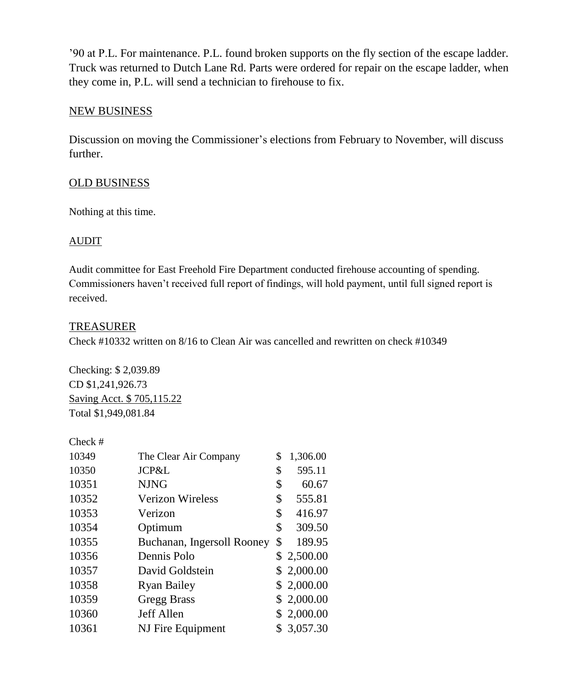'90 at P.L. For maintenance. P.L. found broken supports on the fly section of the escape ladder. Truck was returned to Dutch Lane Rd. Parts were ordered for repair on the escape ladder, when they come in, P.L. will send a technician to firehouse to fix.

#### NEW BUSINESS

Discussion on moving the Commissioner's elections from February to November, will discuss further.

#### OLD BUSINESS

Nothing at this time.

# AUDIT

Audit committee for East Freehold Fire Department conducted firehouse accounting of spending. Commissioners haven't received full report of findings, will hold payment, until full signed report is received.

#### TREASURER

Check #10332 written on 8/16 to Clean Air was cancelled and rewritten on check #10349

Checking: \$ 2,039.89 CD \$1,241,926.73 Saving Acct. \$ 705,115.22 Total \$1,949,081.84

| Check # |                            |                |
|---------|----------------------------|----------------|
| 10349   | The Clear Air Company      | \$<br>1,306.00 |
| 10350   | JCP&L                      | \$<br>595.11   |
| 10351   | <b>NJNG</b>                | \$<br>60.67    |
| 10352   | <b>Verizon Wireless</b>    | \$<br>555.81   |
| 10353   | Verizon                    | \$<br>416.97   |
| 10354   | Optimum                    | \$<br>309.50   |
| 10355   | Buchanan, Ingersoll Rooney | \$<br>189.95   |
| 10356   | Dennis Polo                | \$2,500.00     |
| 10357   | David Goldstein            | \$2,000.00     |
| 10358   | <b>Ryan Bailey</b>         | \$2,000.00     |
| 10359   | <b>Gregg Brass</b>         | \$2,000.00     |
| 10360   | Jeff Allen                 | \$2,000.00     |
| 10361   | NJ Fire Equipment          | 3,057.30       |
|         |                            |                |